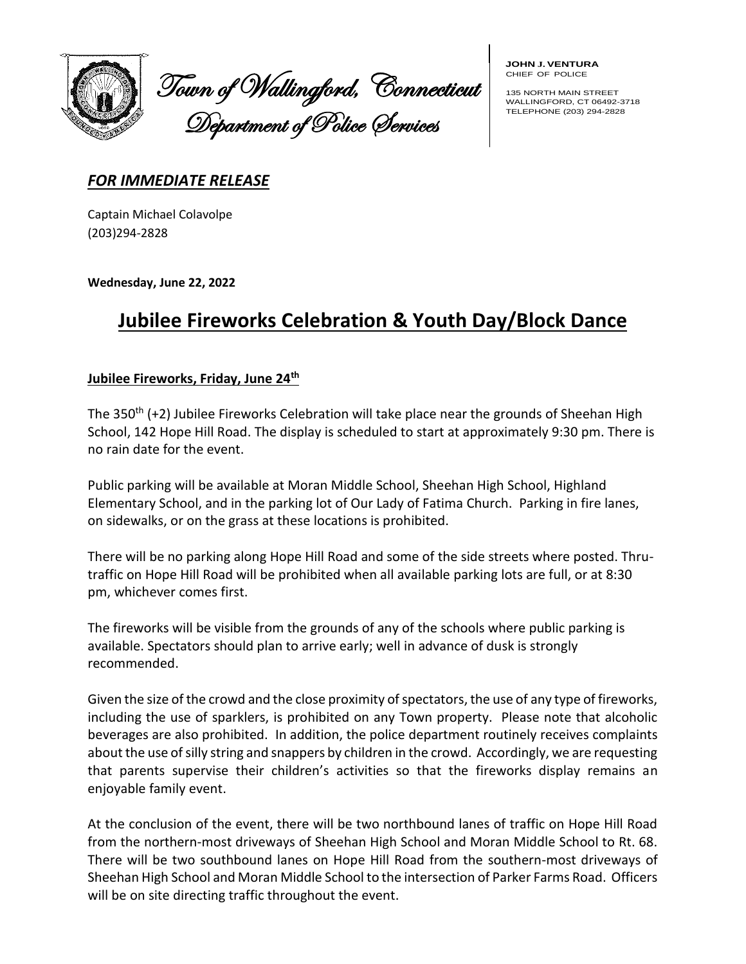

Town of Wallingford, Connecticut Department of Police Services

**JOHN J.VENTURA** CHIEF OF POLICE

135 NORTH MAIN STREET WALLINGFORD, CT 06492-3718 TELEPHONE (203) 294-2828

## *FOR IMMEDIATE RELEASE*

Captain Michael Colavolpe (203)294-2828

**Wednesday, June 22, 2022**

## **Jubilee Fireworks Celebration & Youth Day/Block Dance**

## **Jubilee Fireworks, Friday, June 24th**

The 350<sup>th</sup> (+2) Jubilee Fireworks Celebration will take place near the grounds of Sheehan High School, 142 Hope Hill Road. The display is scheduled to start at approximately 9:30 pm. There is no rain date for the event.

Public parking will be available at Moran Middle School, Sheehan High School, Highland Elementary School, and in the parking lot of Our Lady of Fatima Church. Parking in fire lanes, on sidewalks, or on the grass at these locations is prohibited.

There will be no parking along Hope Hill Road and some of the side streets where posted. Thrutraffic on Hope Hill Road will be prohibited when all available parking lots are full, or at 8:30 pm, whichever comes first.

The fireworks will be visible from the grounds of any of the schools where public parking is available. Spectators should plan to arrive early; well in advance of dusk is strongly recommended.

Given the size of the crowd and the close proximity of spectators, the use of any type of fireworks, including the use of sparklers, is prohibited on any Town property. Please note that alcoholic beverages are also prohibited. In addition, the police department routinely receives complaints about the use of silly string and snappers by children in the crowd. Accordingly, we are requesting that parents supervise their children's activities so that the fireworks display remains an enjoyable family event.

At the conclusion of the event, there will be two northbound lanes of traffic on Hope Hill Road from the northern-most driveways of Sheehan High School and Moran Middle School to Rt. 68. There will be two southbound lanes on Hope Hill Road from the southern-most driveways of Sheehan High School and Moran Middle School to the intersection of Parker Farms Road. Officers will be on site directing traffic throughout the event.